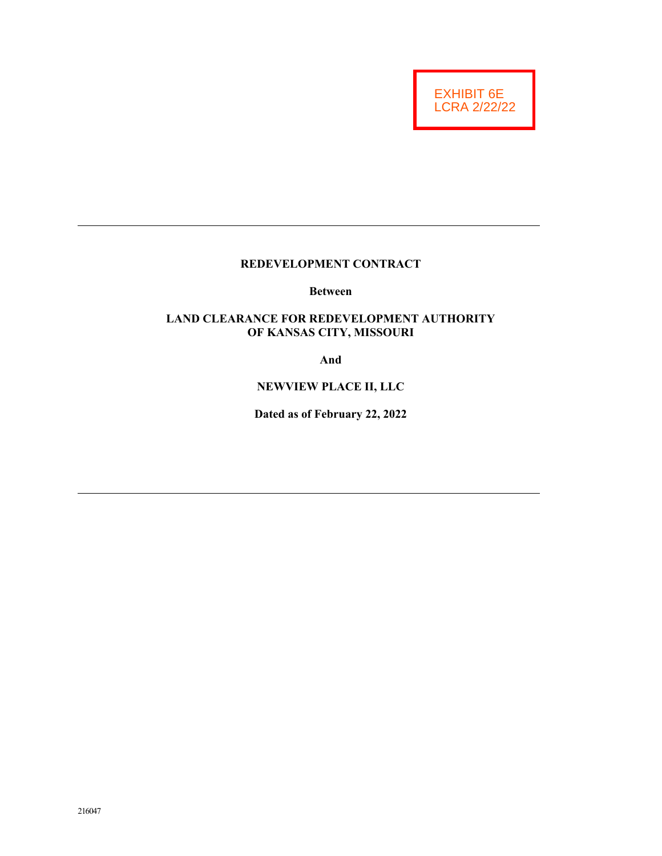EXHIBIT 6E LCRA 2/22/22

# **REDEVELOPMENT CONTRACT**

**Between** 

# **LAND CLEARANCE FOR REDEVELOPMENT AUTHORITY OF KANSAS CITY, MISSOURI**

**And** 

## **NEWVIEW PLACE II, LLC**

**Dated as of February 22, 2022**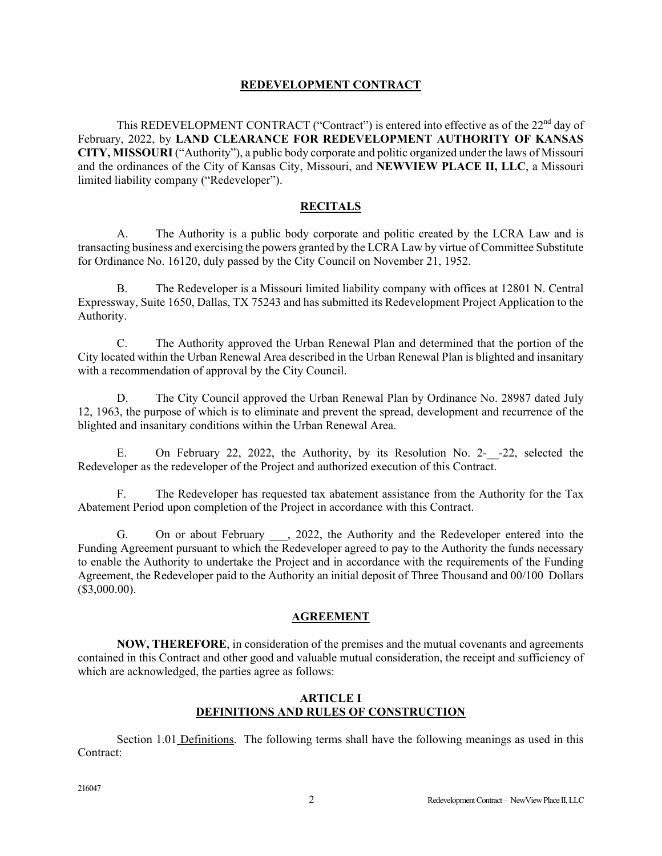### **REDEVELOPMENT CONTRACT**

This REDEVELOPMENT CONTRACT ("Contract") is entered into effective as of the 22<sup>nd</sup> day of February, 2022, by **LAND CLEARANCE FOR REDEVELOPMENT AUTHORITY OF KANSAS CITY, MISSOURI** ("Authority"), a public body corporate and politic organized under the laws of Missouri and the ordinances of the City of Kansas City, Missouri, and **NEWVIEW PLACE II, LLC**, a Missouri limited liability company ("Redeveloper").

### **RECITALS**

A. The Authority is a public body corporate and politic created by the LCRA Law and is transacting business and exercising the powers granted by the LCRA Law by virtue of Committee Substitute for Ordinance No. 16120, duly passed by the City Council on November 21, 1952.

B. The Redeveloper is a Missouri limited liability company with offices at 12801 N. Central Expressway, Suite 1650, Dallas, TX 75243 and has submitted its Redevelopment Project Application to the Authority.

C. The Authority approved the Urban Renewal Plan and determined that the portion of the City located within the Urban Renewal Area described in the Urban Renewal Plan is blighted and insanitary with a recommendation of approval by the City Council.

D. The City Council approved the Urban Renewal Plan by Ordinance No. 28987 dated July 12, 1963, the purpose of which is to eliminate and prevent the spread, development and recurrence of the blighted and insanitary conditions within the Urban Renewal Area.

E. On February 22, 2022, the Authority, by its Resolution No. 2-\_\_-22, selected the Redeveloper as the redeveloper of the Project and authorized execution of this Contract.

F. The Redeveloper has requested tax abatement assistance from the Authority for the Tax Abatement Period upon completion of the Project in accordance with this Contract.

G. On or about February, 2022, the Authority and the Redeveloper entered into the Funding Agreement pursuant to which the Redeveloper agreed to pay to the Authority the funds necessary to enable the Authority to undertake the Project and in accordance with the requirements of the Funding Agreement, the Redeveloper paid to the Authority an initial deposit of Three Thousand and 00/100 Dollars (\$3,000.00).

#### **AGREEMENT**

**NOW, THEREFORE**, in consideration of the premises and the mutual covenants and agreements contained in this Contract and other good and valuable mutual consideration, the receipt and sufficiency of which are acknowledged, the parties agree as follows:

### **ARTICLE I DEFINITIONS AND RULES OF CONSTRUCTION**

Section 1.01 Definitions. The following terms shall have the following meanings as used in this Contract: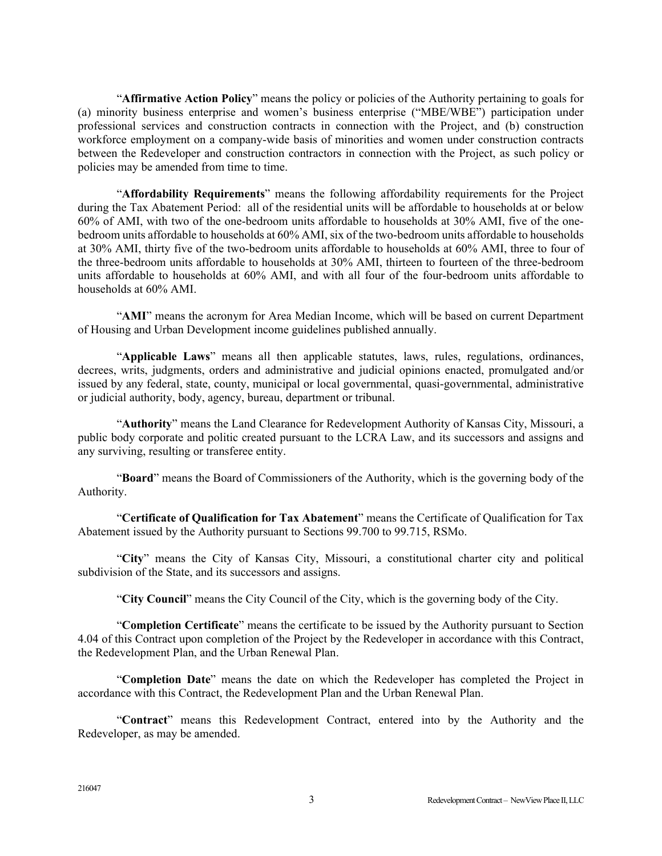"**Affirmative Action Policy**" means the policy or policies of the Authority pertaining to goals for (a) minority business enterprise and women's business enterprise ("MBE/WBE") participation under professional services and construction contracts in connection with the Project, and (b) construction workforce employment on a company-wide basis of minorities and women under construction contracts between the Redeveloper and construction contractors in connection with the Project, as such policy or policies may be amended from time to time.

"**Affordability Requirements**" means the following affordability requirements for the Project during the Tax Abatement Period: all of the residential units will be affordable to households at or below 60% of AMI, with two of the one-bedroom units affordable to households at 30% AMI, five of the onebedroom units affordable to households at 60% AMI, six of the two-bedroom units affordable to households at 30% AMI, thirty five of the two-bedroom units affordable to households at 60% AMI, three to four of the three-bedroom units affordable to households at 30% AMI, thirteen to fourteen of the three-bedroom units affordable to households at 60% AMI, and with all four of the four-bedroom units affordable to households at 60% AMI.

"**AMI**" means the acronym for Area Median Income, which will be based on current Department of Housing and Urban Development income guidelines published annually.

"**Applicable Laws**" means all then applicable statutes, laws, rules, regulations, ordinances, decrees, writs, judgments, orders and administrative and judicial opinions enacted, promulgated and/or issued by any federal, state, county, municipal or local governmental, quasi-governmental, administrative or judicial authority, body, agency, bureau, department or tribunal.

"**Authority**" means the Land Clearance for Redevelopment Authority of Kansas City, Missouri, a public body corporate and politic created pursuant to the LCRA Law, and its successors and assigns and any surviving, resulting or transferee entity.

"**Board**" means the Board of Commissioners of the Authority, which is the governing body of the Authority.

"**Certificate of Qualification for Tax Abatement**" means the Certificate of Qualification for Tax Abatement issued by the Authority pursuant to Sections 99.700 to 99.715, RSMo.

"**City**" means the City of Kansas City, Missouri, a constitutional charter city and political subdivision of the State, and its successors and assigns.

"**City Council**" means the City Council of the City, which is the governing body of the City.

"**Completion Certificate**" means the certificate to be issued by the Authority pursuant to Section 4.04 of this Contract upon completion of the Project by the Redeveloper in accordance with this Contract, the Redevelopment Plan, and the Urban Renewal Plan.

"**Completion Date**" means the date on which the Redeveloper has completed the Project in accordance with this Contract, the Redevelopment Plan and the Urban Renewal Plan.

"**Contract**" means this Redevelopment Contract, entered into by the Authority and the Redeveloper, as may be amended.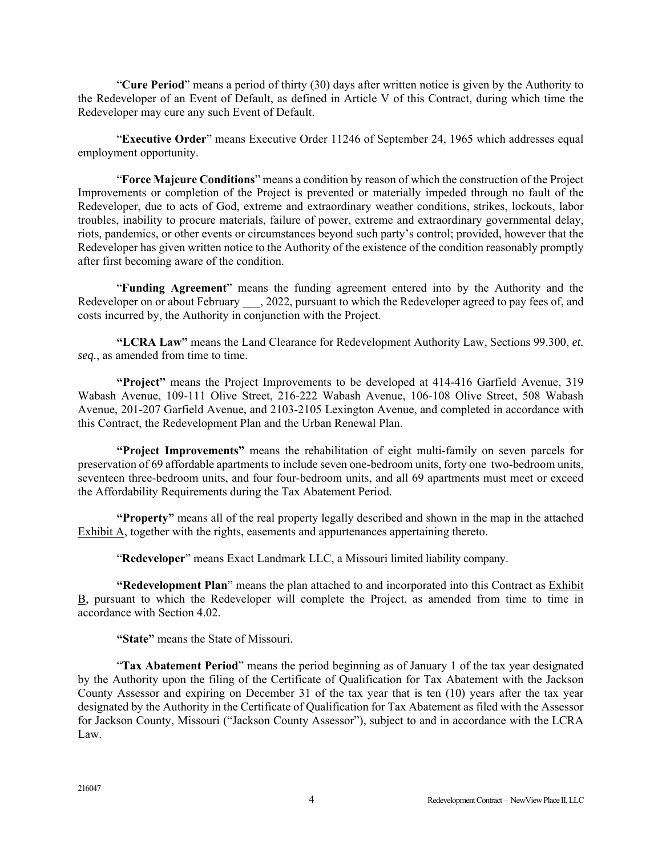"**Cure Period**" means a period of thirty (30) days after written notice is given by the Authority to the Redeveloper of an Event of Default, as defined in Article V of this Contract, during which time the Redeveloper may cure any such Event of Default.

"**Executive Order**" means Executive Order 11246 of September 24, 1965 which addresses equal employment opportunity.

"**Force Majeure Conditions**" means a condition by reason of which the construction of the Project Improvements or completion of the Project is prevented or materially impeded through no fault of the Redeveloper, due to acts of God, extreme and extraordinary weather conditions, strikes, lockouts, labor troubles, inability to procure materials, failure of power, extreme and extraordinary governmental delay, riots, pandemics, or other events or circumstances beyond such party's control; provided, however that the Redeveloper has given written notice to the Authority of the existence of the condition reasonably promptly after first becoming aware of the condition.

"**Funding Agreement**" means the funding agreement entered into by the Authority and the Redeveloper on or about February . 2022, pursuant to which the Redeveloper agreed to pay fees of, and costs incurred by, the Authority in conjunction with the Project.

**"LCRA Law"** means the Land Clearance for Redevelopment Authority Law, Sections 99.300, *et. seq.*, as amended from time to time.

 **"Project"** means the Project Improvements to be developed at 414-416 Garfield Avenue, 319 Wabash Avenue, 109-111 Olive Street, 216-222 Wabash Avenue, 106-108 Olive Street, 508 Wabash Avenue, 201-207 Garfield Avenue, and 2103-2105 Lexington Avenue, and completed in accordance with this Contract, the Redevelopment Plan and the Urban Renewal Plan.

**"Project Improvements"** means the rehabilitation of eight multi-family on seven parcels for preservation of 69 affordable apartments to include seven one-bedroom units, forty one two-bedroom units, seventeen three-bedroom units, and four four-bedroom units, and all 69 apartments must meet or exceed the Affordability Requirements during the Tax Abatement Period.

**"Property"** means all of the real property legally described and shown in the map in the attached Exhibit A, together with the rights, easements and appurtenances appertaining thereto.

"**Redeveloper**" means Exact Landmark LLC, a Missouri limited liability company.

**"Redevelopment Plan**" means the plan attached to and incorporated into this Contract as Exhibit B, pursuant to which the Redeveloper will complete the Project, as amended from time to time in accordance with Section 4.02.

**"State"** means the State of Missouri.

"**Tax Abatement Period**" means the period beginning as of January 1 of the tax year designated by the Authority upon the filing of the Certificate of Qualification for Tax Abatement with the Jackson County Assessor and expiring on December 31 of the tax year that is ten (10) years after the tax year designated by the Authority in the Certificate of Qualification for Tax Abatement as filed with the Assessor for Jackson County, Missouri ("Jackson County Assessor"), subject to and in accordance with the LCRA Law.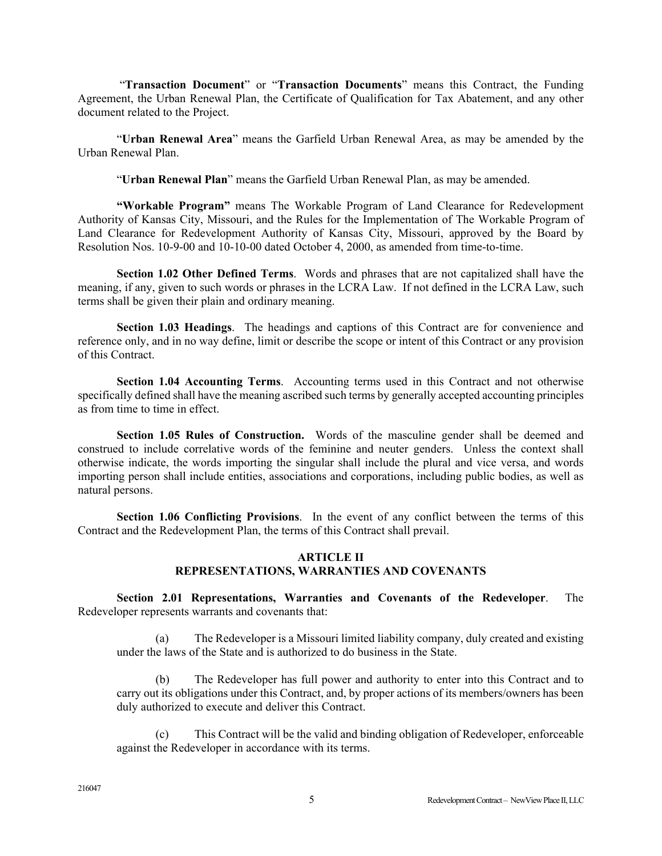"**Transaction Document**" or "**Transaction Documents**" means this Contract, the Funding Agreement, the Urban Renewal Plan, the Certificate of Qualification for Tax Abatement, and any other document related to the Project.

"**Urban Renewal Area**" means the Garfield Urban Renewal Area, as may be amended by the Urban Renewal Plan.

"**Urban Renewal Plan**" means the Garfield Urban Renewal Plan, as may be amended.

**"Workable Program"** means The Workable Program of Land Clearance for Redevelopment Authority of Kansas City, Missouri, and the Rules for the Implementation of The Workable Program of Land Clearance for Redevelopment Authority of Kansas City, Missouri, approved by the Board by Resolution Nos. 10-9-00 and 10-10-00 dated October 4, 2000, as amended from time-to-time.

**Section 1.02 Other Defined Terms**.Words and phrases that are not capitalized shall have the meaning, if any, given to such words or phrases in the LCRA Law. If not defined in the LCRA Law, such terms shall be given their plain and ordinary meaning.

**Section 1.03 Headings**. The headings and captions of this Contract are for convenience and reference only, and in no way define, limit or describe the scope or intent of this Contract or any provision of this Contract.

**Section 1.04 Accounting Terms**. Accounting terms used in this Contract and not otherwise specifically defined shall have the meaning ascribed such terms by generally accepted accounting principles as from time to time in effect.

**Section 1.05 Rules of Construction.** Words of the masculine gender shall be deemed and construed to include correlative words of the feminine and neuter genders. Unless the context shall otherwise indicate, the words importing the singular shall include the plural and vice versa, and words importing person shall include entities, associations and corporations, including public bodies, as well as natural persons.

**Section 1.06 Conflicting Provisions**. In the event of any conflict between the terms of this Contract and the Redevelopment Plan, the terms of this Contract shall prevail.

#### **ARTICLE II REPRESENTATIONS, WARRANTIES AND COVENANTS**

**Section 2.01 Representations, Warranties and Covenants of the Redeveloper**. The Redeveloper represents warrants and covenants that:

(a) The Redeveloper is a Missouri limited liability company, duly created and existing under the laws of the State and is authorized to do business in the State.

The Redeveloper has full power and authority to enter into this Contract and to carry out its obligations under this Contract, and, by proper actions of its members/owners has been duly authorized to execute and deliver this Contract.

(c) This Contract will be the valid and binding obligation of Redeveloper, enforceable against the Redeveloper in accordance with its terms.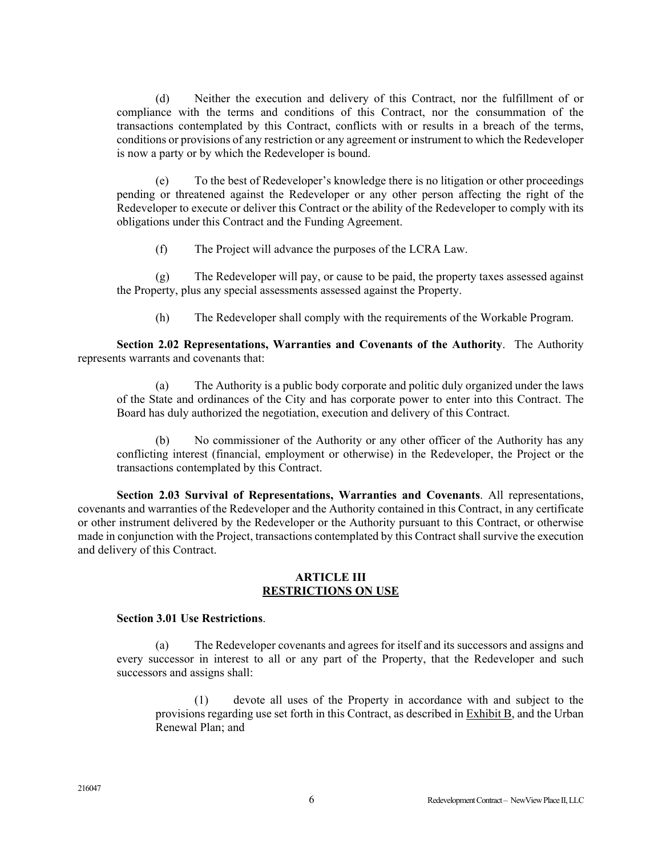(d) Neither the execution and delivery of this Contract, nor the fulfillment of or compliance with the terms and conditions of this Contract, nor the consummation of the transactions contemplated by this Contract, conflicts with or results in a breach of the terms, conditions or provisions of any restriction or any agreement or instrument to which the Redeveloper is now a party or by which the Redeveloper is bound.

(e) To the best of Redeveloper's knowledge there is no litigation or other proceedings pending or threatened against the Redeveloper or any other person affecting the right of the Redeveloper to execute or deliver this Contract or the ability of the Redeveloper to comply with its obligations under this Contract and the Funding Agreement.

(f) The Project will advance the purposes of the LCRA Law.

(g) The Redeveloper will pay, or cause to be paid, the property taxes assessed against the Property, plus any special assessments assessed against the Property.

(h) The Redeveloper shall comply with the requirements of the Workable Program.

**Section 2.02 Representations, Warranties and Covenants of the Authority**. The Authority represents warrants and covenants that:

(a) The Authority is a public body corporate and politic duly organized under the laws of the State and ordinances of the City and has corporate power to enter into this Contract. The Board has duly authorized the negotiation, execution and delivery of this Contract.

(b) No commissioner of the Authority or any other officer of the Authority has any conflicting interest (financial, employment or otherwise) in the Redeveloper, the Project or the transactions contemplated by this Contract.

**Section 2.03 Survival of Representations, Warranties and Covenants**. All representations, covenants and warranties of the Redeveloper and the Authority contained in this Contract, in any certificate or other instrument delivered by the Redeveloper or the Authority pursuant to this Contract, or otherwise made in conjunction with the Project, transactions contemplated by this Contract shall survive the execution and delivery of this Contract.

### **ARTICLE III RESTRICTIONS ON USE**

### **Section 3.01 Use Restrictions**.

(a) The Redeveloper covenants and agrees for itself and its successors and assigns and every successor in interest to all or any part of the Property, that the Redeveloper and such successors and assigns shall:

(1) devote all uses of the Property in accordance with and subject to the provisions regarding use set forth in this Contract, as described in Exhibit B, and the Urban Renewal Plan; and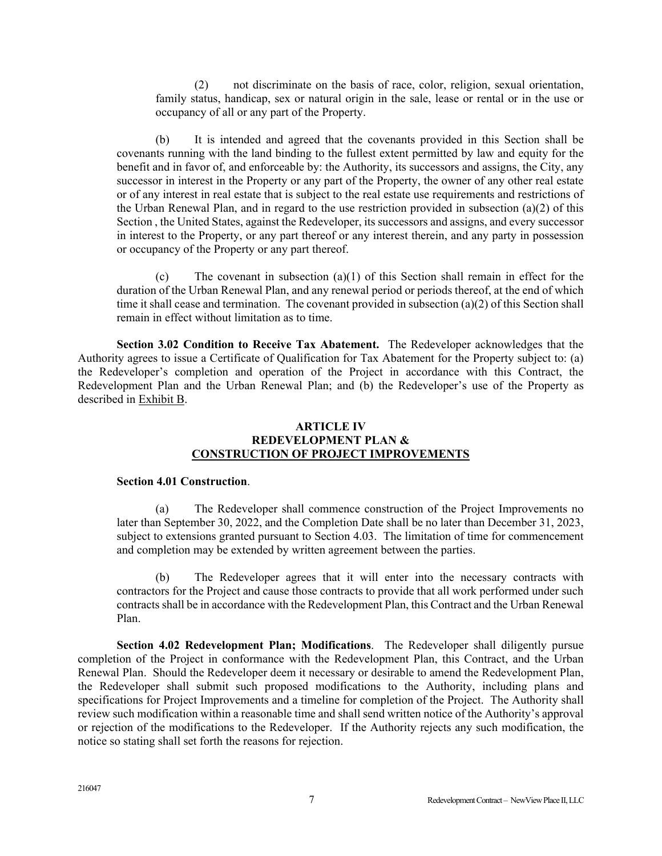(2) not discriminate on the basis of race, color, religion, sexual orientation, family status, handicap, sex or natural origin in the sale, lease or rental or in the use or occupancy of all or any part of the Property.

(b) It is intended and agreed that the covenants provided in this Section shall be covenants running with the land binding to the fullest extent permitted by law and equity for the benefit and in favor of, and enforceable by: the Authority, its successors and assigns, the City, any successor in interest in the Property or any part of the Property, the owner of any other real estate or of any interest in real estate that is subject to the real estate use requirements and restrictions of the Urban Renewal Plan, and in regard to the use restriction provided in subsection (a)(2) of this Section , the United States, against the Redeveloper, its successors and assigns, and every successor in interest to the Property, or any part thereof or any interest therein, and any party in possession or occupancy of the Property or any part thereof.

(c) The covenant in subsection (a)(1) of this Section shall remain in effect for the duration of the Urban Renewal Plan, and any renewal period or periods thereof, at the end of which time it shall cease and termination. The covenant provided in subsection (a)(2) of this Section shall remain in effect without limitation as to time.

**Section 3.02 Condition to Receive Tax Abatement.** The Redeveloper acknowledges that the Authority agrees to issue a Certificate of Qualification for Tax Abatement for the Property subject to: (a) the Redeveloper's completion and operation of the Project in accordance with this Contract, the Redevelopment Plan and the Urban Renewal Plan; and (b) the Redeveloper's use of the Property as described in Exhibit B.

### **ARTICLE IV REDEVELOPMENT PLAN & CONSTRUCTION OF PROJECT IMPROVEMENTS**

#### **Section 4.01 Construction**.

(a) The Redeveloper shall commence construction of the Project Improvements no later than September 30, 2022, and the Completion Date shall be no later than December 31, 2023, subject to extensions granted pursuant to Section 4.03. The limitation of time for commencement and completion may be extended by written agreement between the parties.

(b) The Redeveloper agrees that it will enter into the necessary contracts with contractors for the Project and cause those contracts to provide that all work performed under such contracts shall be in accordance with the Redevelopment Plan, this Contract and the Urban Renewal Plan.

**Section 4.02 Redevelopment Plan; Modifications**. The Redeveloper shall diligently pursue completion of the Project in conformance with the Redevelopment Plan, this Contract, and the Urban Renewal Plan. Should the Redeveloper deem it necessary or desirable to amend the Redevelopment Plan, the Redeveloper shall submit such proposed modifications to the Authority, including plans and specifications for Project Improvements and a timeline for completion of the Project. The Authority shall review such modification within a reasonable time and shall send written notice of the Authority's approval or rejection of the modifications to the Redeveloper. If the Authority rejects any such modification, the notice so stating shall set forth the reasons for rejection.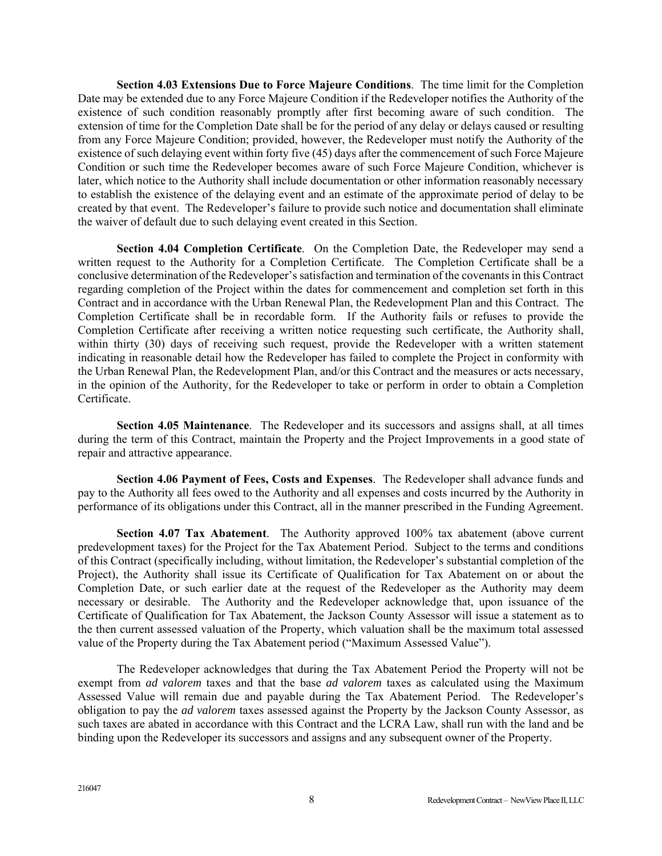**Section 4.03 Extensions Due to Force Majeure Conditions**. The time limit for the Completion Date may be extended due to any Force Majeure Condition if the Redeveloper notifies the Authority of the existence of such condition reasonably promptly after first becoming aware of such condition. The extension of time for the Completion Date shall be for the period of any delay or delays caused or resulting from any Force Majeure Condition; provided, however, the Redeveloper must notify the Authority of the existence of such delaying event within forty five (45) days after the commencement of such Force Majeure Condition or such time the Redeveloper becomes aware of such Force Majeure Condition, whichever is later, which notice to the Authority shall include documentation or other information reasonably necessary to establish the existence of the delaying event and an estimate of the approximate period of delay to be created by that event. The Redeveloper's failure to provide such notice and documentation shall eliminate the waiver of default due to such delaying event created in this Section.

**Section 4.04 Completion Certificate**. On the Completion Date, the Redeveloper may send a written request to the Authority for a Completion Certificate. The Completion Certificate shall be a conclusive determination of the Redeveloper's satisfaction and termination of the covenants in this Contract regarding completion of the Project within the dates for commencement and completion set forth in this Contract and in accordance with the Urban Renewal Plan, the Redevelopment Plan and this Contract. The Completion Certificate shall be in recordable form. If the Authority fails or refuses to provide the Completion Certificate after receiving a written notice requesting such certificate, the Authority shall, within thirty (30) days of receiving such request, provide the Redeveloper with a written statement indicating in reasonable detail how the Redeveloper has failed to complete the Project in conformity with the Urban Renewal Plan, the Redevelopment Plan, and/or this Contract and the measures or acts necessary, in the opinion of the Authority, for the Redeveloper to take or perform in order to obtain a Completion Certificate.

**Section 4.05 Maintenance**. The Redeveloper and its successors and assigns shall, at all times during the term of this Contract, maintain the Property and the Project Improvements in a good state of repair and attractive appearance.

**Section 4.06 Payment of Fees, Costs and Expenses**. The Redeveloper shall advance funds and pay to the Authority all fees owed to the Authority and all expenses and costs incurred by the Authority in performance of its obligations under this Contract, all in the manner prescribed in the Funding Agreement.

**Section 4.07 Tax Abatement**. The Authority approved 100% tax abatement (above current predevelopment taxes) for the Project for the Tax Abatement Period. Subject to the terms and conditions of this Contract (specifically including, without limitation, the Redeveloper's substantial completion of the Project), the Authority shall issue its Certificate of Qualification for Tax Abatement on or about the Completion Date, or such earlier date at the request of the Redeveloper as the Authority may deem necessary or desirable. The Authority and the Redeveloper acknowledge that, upon issuance of the Certificate of Qualification for Tax Abatement, the Jackson County Assessor will issue a statement as to the then current assessed valuation of the Property, which valuation shall be the maximum total assessed value of the Property during the Tax Abatement period ("Maximum Assessed Value").

The Redeveloper acknowledges that during the Tax Abatement Period the Property will not be exempt from *ad valorem* taxes and that the base *ad valorem* taxes as calculated using the Maximum Assessed Value will remain due and payable during the Tax Abatement Period. The Redeveloper's obligation to pay the *ad valorem* taxes assessed against the Property by the Jackson County Assessor, as such taxes are abated in accordance with this Contract and the LCRA Law, shall run with the land and be binding upon the Redeveloper its successors and assigns and any subsequent owner of the Property.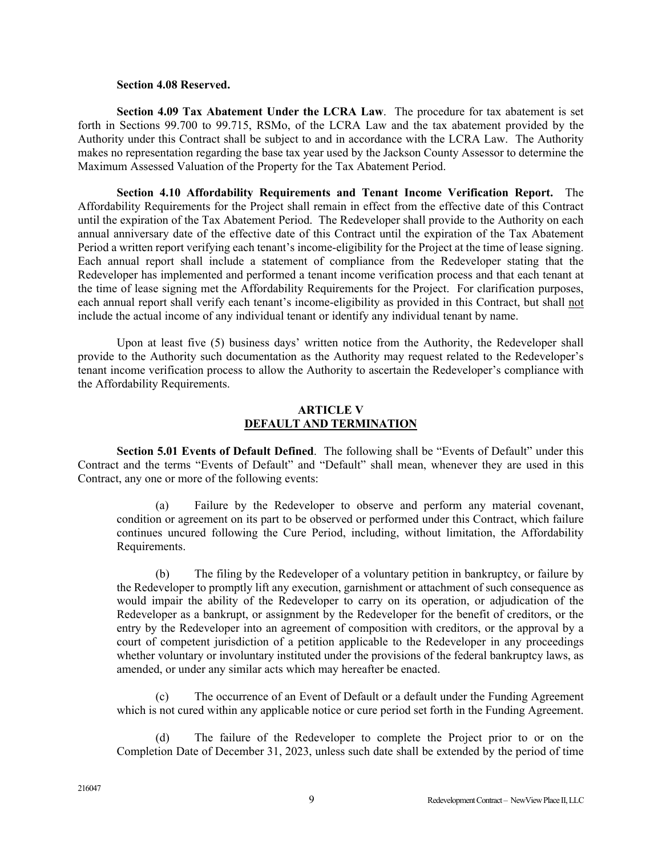#### **Section 4.08 Reserved.**

**Section 4.09 Tax Abatement Under the LCRA Law**. The procedure for tax abatement is set forth in Sections 99.700 to 99.715, RSMo, of the LCRA Law and the tax abatement provided by the Authority under this Contract shall be subject to and in accordance with the LCRA Law. The Authority makes no representation regarding the base tax year used by the Jackson County Assessor to determine the Maximum Assessed Valuation of the Property for the Tax Abatement Period.

**Section 4.10 Affordability Requirements and Tenant Income Verification Report.** The Affordability Requirements for the Project shall remain in effect from the effective date of this Contract until the expiration of the Tax Abatement Period. The Redeveloper shall provide to the Authority on each annual anniversary date of the effective date of this Contract until the expiration of the Tax Abatement Period a written report verifying each tenant's income-eligibility for the Project at the time of lease signing. Each annual report shall include a statement of compliance from the Redeveloper stating that the Redeveloper has implemented and performed a tenant income verification process and that each tenant at the time of lease signing met the Affordability Requirements for the Project. For clarification purposes, each annual report shall verify each tenant's income-eligibility as provided in this Contract, but shall not include the actual income of any individual tenant or identify any individual tenant by name.

Upon at least five (5) business days' written notice from the Authority, the Redeveloper shall provide to the Authority such documentation as the Authority may request related to the Redeveloper's tenant income verification process to allow the Authority to ascertain the Redeveloper's compliance with the Affordability Requirements.

### **ARTICLE V DEFAULT AND TERMINATION**

**Section 5.01 Events of Default Defined**. The following shall be "Events of Default" under this Contract and the terms "Events of Default" and "Default" shall mean, whenever they are used in this Contract, any one or more of the following events:

(a) Failure by the Redeveloper to observe and perform any material covenant, condition or agreement on its part to be observed or performed under this Contract, which failure continues uncured following the Cure Period, including, without limitation, the Affordability Requirements.

(b) The filing by the Redeveloper of a voluntary petition in bankruptcy, or failure by the Redeveloper to promptly lift any execution, garnishment or attachment of such consequence as would impair the ability of the Redeveloper to carry on its operation, or adjudication of the Redeveloper as a bankrupt, or assignment by the Redeveloper for the benefit of creditors, or the entry by the Redeveloper into an agreement of composition with creditors, or the approval by a court of competent jurisdiction of a petition applicable to the Redeveloper in any proceedings whether voluntary or involuntary instituted under the provisions of the federal bankruptcy laws, as amended, or under any similar acts which may hereafter be enacted.

(c) The occurrence of an Event of Default or a default under the Funding Agreement which is not cured within any applicable notice or cure period set forth in the Funding Agreement.

(d) The failure of the Redeveloper to complete the Project prior to or on the Completion Date of December 31, 2023, unless such date shall be extended by the period of time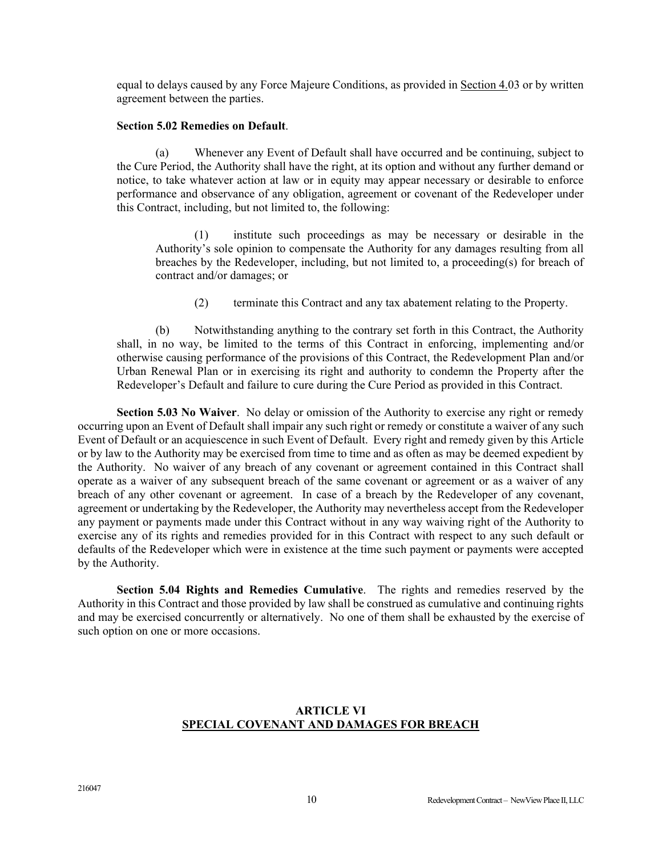equal to delays caused by any Force Majeure Conditions, as provided in Section 4.03 or by written agreement between the parties.

#### **Section 5.02 Remedies on Default**.

(a) Whenever any Event of Default shall have occurred and be continuing, subject to the Cure Period, the Authority shall have the right, at its option and without any further demand or notice, to take whatever action at law or in equity may appear necessary or desirable to enforce performance and observance of any obligation, agreement or covenant of the Redeveloper under this Contract, including, but not limited to, the following:

(1) institute such proceedings as may be necessary or desirable in the Authority's sole opinion to compensate the Authority for any damages resulting from all breaches by the Redeveloper, including, but not limited to, a proceeding(s) for breach of contract and/or damages; or

(2) terminate this Contract and any tax abatement relating to the Property.

(b) Notwithstanding anything to the contrary set forth in this Contract, the Authority shall, in no way, be limited to the terms of this Contract in enforcing, implementing and/or otherwise causing performance of the provisions of this Contract, the Redevelopment Plan and/or Urban Renewal Plan or in exercising its right and authority to condemn the Property after the Redeveloper's Default and failure to cure during the Cure Period as provided in this Contract.

**Section 5.03 No Waiver**. No delay or omission of the Authority to exercise any right or remedy occurring upon an Event of Default shall impair any such right or remedy or constitute a waiver of any such Event of Default or an acquiescence in such Event of Default. Every right and remedy given by this Article or by law to the Authority may be exercised from time to time and as often as may be deemed expedient by the Authority. No waiver of any breach of any covenant or agreement contained in this Contract shall operate as a waiver of any subsequent breach of the same covenant or agreement or as a waiver of any breach of any other covenant or agreement. In case of a breach by the Redeveloper of any covenant, agreement or undertaking by the Redeveloper, the Authority may nevertheless accept from the Redeveloper any payment or payments made under this Contract without in any way waiving right of the Authority to exercise any of its rights and remedies provided for in this Contract with respect to any such default or defaults of the Redeveloper which were in existence at the time such payment or payments were accepted by the Authority.

**Section 5.04 Rights and Remedies Cumulative**. The rights and remedies reserved by the Authority in this Contract and those provided by law shall be construed as cumulative and continuing rights and may be exercised concurrently or alternatively. No one of them shall be exhausted by the exercise of such option on one or more occasions.

# **ARTICLE VI SPECIAL COVENANT AND DAMAGES FOR BREACH**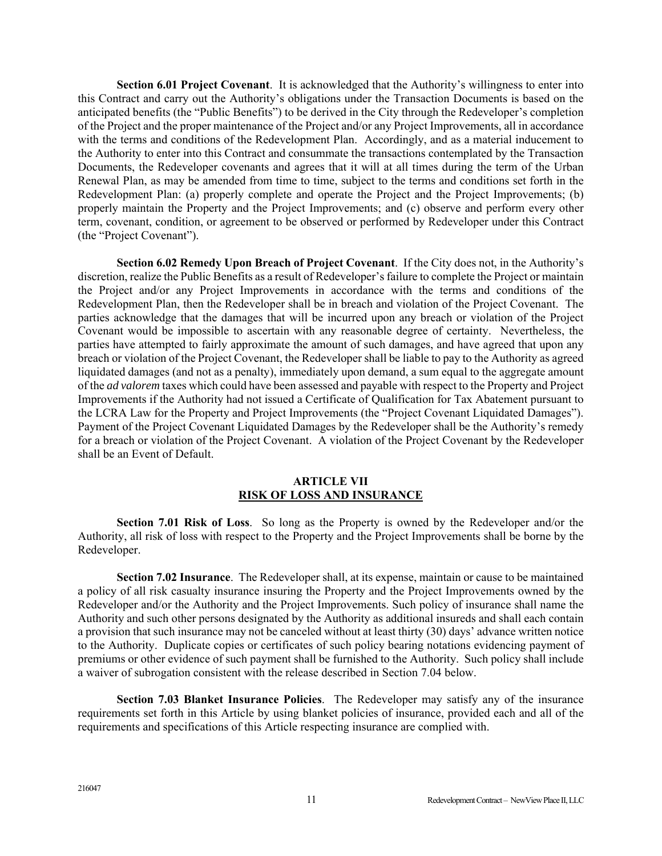**Section 6.01 Project Covenant**. It is acknowledged that the Authority's willingness to enter into this Contract and carry out the Authority's obligations under the Transaction Documents is based on the anticipated benefits (the "Public Benefits") to be derived in the City through the Redeveloper's completion of the Project and the proper maintenance of the Project and/or any Project Improvements, all in accordance with the terms and conditions of the Redevelopment Plan. Accordingly, and as a material inducement to the Authority to enter into this Contract and consummate the transactions contemplated by the Transaction Documents, the Redeveloper covenants and agrees that it will at all times during the term of the Urban Renewal Plan, as may be amended from time to time, subject to the terms and conditions set forth in the Redevelopment Plan: (a) properly complete and operate the Project and the Project Improvements; (b) properly maintain the Property and the Project Improvements; and (c) observe and perform every other term, covenant, condition, or agreement to be observed or performed by Redeveloper under this Contract (the "Project Covenant").

**Section 6.02 Remedy Upon Breach of Project Covenant**. If the City does not, in the Authority's discretion, realize the Public Benefits as a result of Redeveloper's failure to complete the Project or maintain the Project and/or any Project Improvements in accordance with the terms and conditions of the Redevelopment Plan, then the Redeveloper shall be in breach and violation of the Project Covenant. The parties acknowledge that the damages that will be incurred upon any breach or violation of the Project Covenant would be impossible to ascertain with any reasonable degree of certainty. Nevertheless, the parties have attempted to fairly approximate the amount of such damages, and have agreed that upon any breach or violation of the Project Covenant, the Redeveloper shall be liable to pay to the Authority as agreed liquidated damages (and not as a penalty), immediately upon demand, a sum equal to the aggregate amount of the *ad valorem* taxes which could have been assessed and payable with respect to the Property and Project Improvements if the Authority had not issued a Certificate of Qualification for Tax Abatement pursuant to the LCRA Law for the Property and Project Improvements (the "Project Covenant Liquidated Damages"). Payment of the Project Covenant Liquidated Damages by the Redeveloper shall be the Authority's remedy for a breach or violation of the Project Covenant. A violation of the Project Covenant by the Redeveloper shall be an Event of Default.

### **ARTICLE VII RISK OF LOSS AND INSURANCE**

**Section 7.01 Risk of Loss**. So long as the Property is owned by the Redeveloper and/or the Authority, all risk of loss with respect to the Property and the Project Improvements shall be borne by the Redeveloper.

**Section 7.02 Insurance**. The Redeveloper shall, at its expense, maintain or cause to be maintained a policy of all risk casualty insurance insuring the Property and the Project Improvements owned by the Redeveloper and/or the Authority and the Project Improvements. Such policy of insurance shall name the Authority and such other persons designated by the Authority as additional insureds and shall each contain a provision that such insurance may not be canceled without at least thirty (30) days' advance written notice to the Authority. Duplicate copies or certificates of such policy bearing notations evidencing payment of premiums or other evidence of such payment shall be furnished to the Authority. Such policy shall include a waiver of subrogation consistent with the release described in Section 7.04 below.

**Section 7.03 Blanket Insurance Policies**. The Redeveloper may satisfy any of the insurance requirements set forth in this Article by using blanket policies of insurance, provided each and all of the requirements and specifications of this Article respecting insurance are complied with.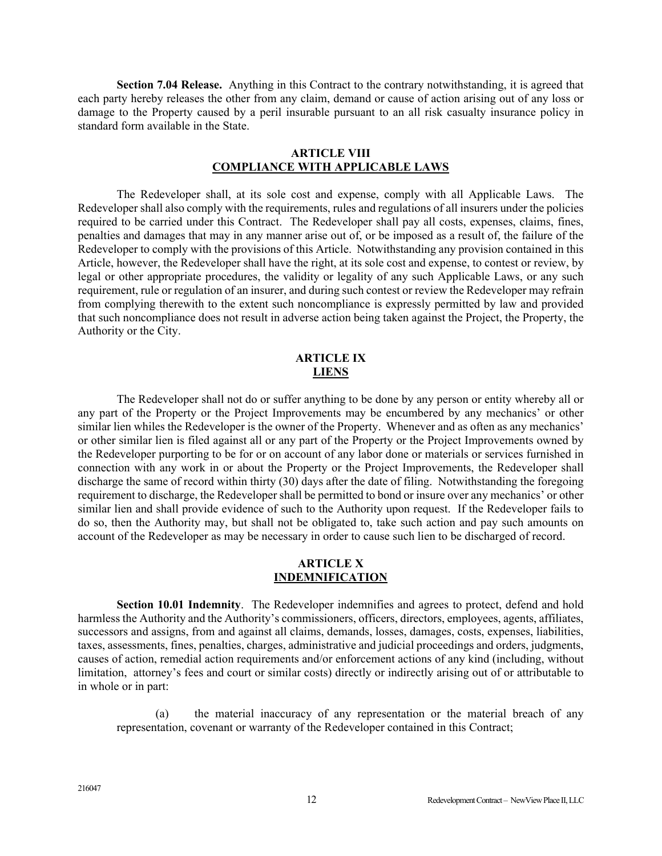**Section 7.04 Release.** Anything in this Contract to the contrary notwithstanding, it is agreed that each party hereby releases the other from any claim, demand or cause of action arising out of any loss or damage to the Property caused by a peril insurable pursuant to an all risk casualty insurance policy in standard form available in the State.

#### **ARTICLE VIII COMPLIANCE WITH APPLICABLE LAWS**

The Redeveloper shall, at its sole cost and expense, comply with all Applicable Laws. The Redeveloper shall also comply with the requirements, rules and regulations of all insurers under the policies required to be carried under this Contract. The Redeveloper shall pay all costs, expenses, claims, fines, penalties and damages that may in any manner arise out of, or be imposed as a result of, the failure of the Redeveloper to comply with the provisions of this Article. Notwithstanding any provision contained in this Article, however, the Redeveloper shall have the right, at its sole cost and expense, to contest or review, by legal or other appropriate procedures, the validity or legality of any such Applicable Laws, or any such requirement, rule or regulation of an insurer, and during such contest or review the Redeveloper may refrain from complying therewith to the extent such noncompliance is expressly permitted by law and provided that such noncompliance does not result in adverse action being taken against the Project, the Property, the Authority or the City.

### **ARTICLE IX LIENS**

The Redeveloper shall not do or suffer anything to be done by any person or entity whereby all or any part of the Property or the Project Improvements may be encumbered by any mechanics' or other similar lien whiles the Redeveloper is the owner of the Property. Whenever and as often as any mechanics' or other similar lien is filed against all or any part of the Property or the Project Improvements owned by the Redeveloper purporting to be for or on account of any labor done or materials or services furnished in connection with any work in or about the Property or the Project Improvements, the Redeveloper shall discharge the same of record within thirty (30) days after the date of filing. Notwithstanding the foregoing requirement to discharge, the Redeveloper shall be permitted to bond or insure over any mechanics' or other similar lien and shall provide evidence of such to the Authority upon request. If the Redeveloper fails to do so, then the Authority may, but shall not be obligated to, take such action and pay such amounts on account of the Redeveloper as may be necessary in order to cause such lien to be discharged of record.

#### **ARTICLE X INDEMNIFICATION**

**Section 10.01 Indemnity**. The Redeveloper indemnifies and agrees to protect, defend and hold harmless the Authority and the Authority's commissioners, officers, directors, employees, agents, affiliates, successors and assigns, from and against all claims, demands, losses, damages, costs, expenses, liabilities, taxes, assessments, fines, penalties, charges, administrative and judicial proceedings and orders, judgments, causes of action, remedial action requirements and/or enforcement actions of any kind (including, without limitation, attorney's fees and court or similar costs) directly or indirectly arising out of or attributable to in whole or in part:

(a) the material inaccuracy of any representation or the material breach of any representation, covenant or warranty of the Redeveloper contained in this Contract;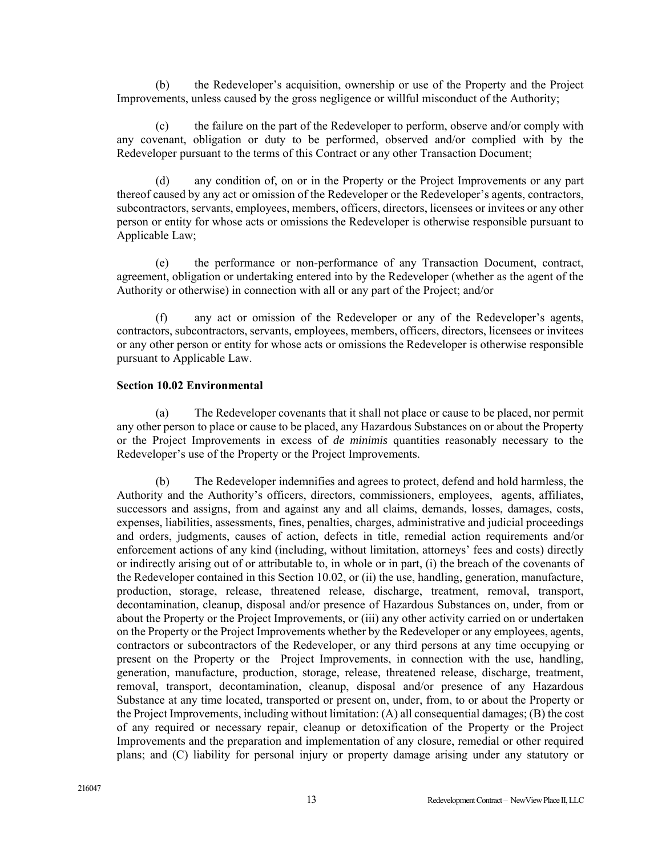(b) the Redeveloper's acquisition, ownership or use of the Property and the Project Improvements, unless caused by the gross negligence or willful misconduct of the Authority;

(c) the failure on the part of the Redeveloper to perform, observe and/or comply with any covenant, obligation or duty to be performed, observed and/or complied with by the Redeveloper pursuant to the terms of this Contract or any other Transaction Document;

(d) any condition of, on or in the Property or the Project Improvements or any part thereof caused by any act or omission of the Redeveloper or the Redeveloper's agents, contractors, subcontractors, servants, employees, members, officers, directors, licensees or invitees or any other person or entity for whose acts or omissions the Redeveloper is otherwise responsible pursuant to Applicable Law;

(e) the performance or non-performance of any Transaction Document, contract, agreement, obligation or undertaking entered into by the Redeveloper (whether as the agent of the Authority or otherwise) in connection with all or any part of the Project; and/or

(f) any act or omission of the Redeveloper or any of the Redeveloper's agents, contractors, subcontractors, servants, employees, members, officers, directors, licensees or invitees or any other person or entity for whose acts or omissions the Redeveloper is otherwise responsible pursuant to Applicable Law.

#### **Section 10.02 Environmental**

(a) The Redeveloper covenants that it shall not place or cause to be placed, nor permit any other person to place or cause to be placed, any Hazardous Substances on or about the Property or the Project Improvements in excess of *de minimis* quantities reasonably necessary to the Redeveloper's use of the Property or the Project Improvements.

(b) The Redeveloper indemnifies and agrees to protect, defend and hold harmless, the Authority and the Authority's officers, directors, commissioners, employees, agents, affiliates, successors and assigns, from and against any and all claims, demands, losses, damages, costs, expenses, liabilities, assessments, fines, penalties, charges, administrative and judicial proceedings and orders, judgments, causes of action, defects in title, remedial action requirements and/or enforcement actions of any kind (including, without limitation, attorneys' fees and costs) directly or indirectly arising out of or attributable to, in whole or in part, (i) the breach of the covenants of the Redeveloper contained in this Section 10.02, or (ii) the use, handling, generation, manufacture, production, storage, release, threatened release, discharge, treatment, removal, transport, decontamination, cleanup, disposal and/or presence of Hazardous Substances on, under, from or about the Property or the Project Improvements, or (iii) any other activity carried on or undertaken on the Property or the Project Improvements whether by the Redeveloper or any employees, agents, contractors or subcontractors of the Redeveloper, or any third persons at any time occupying or present on the Property or the Project Improvements, in connection with the use, handling, generation, manufacture, production, storage, release, threatened release, discharge, treatment, removal, transport, decontamination, cleanup, disposal and/or presence of any Hazardous Substance at any time located, transported or present on, under, from, to or about the Property or the Project Improvements, including without limitation: (A) all consequential damages; (B) the cost of any required or necessary repair, cleanup or detoxification of the Property or the Project Improvements and the preparation and implementation of any closure, remedial or other required plans; and (C) liability for personal injury or property damage arising under any statutory or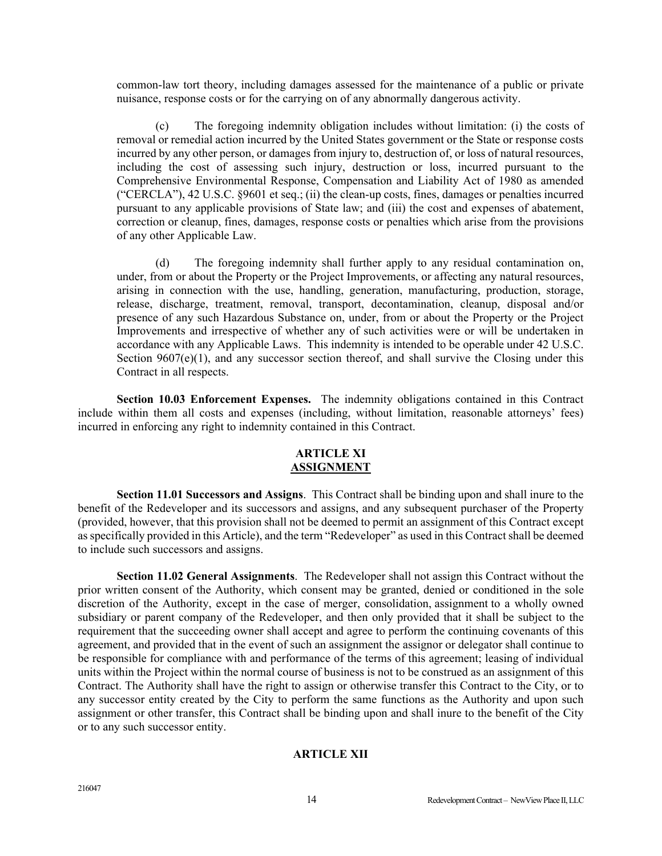common-law tort theory, including damages assessed for the maintenance of a public or private nuisance, response costs or for the carrying on of any abnormally dangerous activity.

(c) The foregoing indemnity obligation includes without limitation: (i) the costs of removal or remedial action incurred by the United States government or the State or response costs incurred by any other person, or damages from injury to, destruction of, or loss of natural resources, including the cost of assessing such injury, destruction or loss, incurred pursuant to the Comprehensive Environmental Response, Compensation and Liability Act of 1980 as amended ("CERCLA"), 42 U.S.C. §9601 et seq.; (ii) the clean-up costs, fines, damages or penalties incurred pursuant to any applicable provisions of State law; and (iii) the cost and expenses of abatement, correction or cleanup, fines, damages, response costs or penalties which arise from the provisions of any other Applicable Law.

(d) The foregoing indemnity shall further apply to any residual contamination on, under, from or about the Property or the Project Improvements, or affecting any natural resources, arising in connection with the use, handling, generation, manufacturing, production, storage, release, discharge, treatment, removal, transport, decontamination, cleanup, disposal and/or presence of any such Hazardous Substance on, under, from or about the Property or the Project Improvements and irrespective of whether any of such activities were or will be undertaken in accordance with any Applicable Laws. This indemnity is intended to be operable under 42 U.S.C. Section  $9607(e)(1)$ , and any successor section thereof, and shall survive the Closing under this Contract in all respects.

**Section 10.03 Enforcement Expenses.** The indemnity obligations contained in this Contract include within them all costs and expenses (including, without limitation, reasonable attorneys' fees) incurred in enforcing any right to indemnity contained in this Contract.

### **ARTICLE XI ASSIGNMENT**

**Section 11.01 Successors and Assigns**. This Contract shall be binding upon and shall inure to the benefit of the Redeveloper and its successors and assigns, and any subsequent purchaser of the Property (provided, however, that this provision shall not be deemed to permit an assignment of this Contract except as specifically provided in this Article), and the term "Redeveloper" as used in this Contract shall be deemed to include such successors and assigns.

**Section 11.02 General Assignments**. The Redeveloper shall not assign this Contract without the prior written consent of the Authority, which consent may be granted, denied or conditioned in the sole discretion of the Authority, except in the case of merger, consolidation, assignment to a wholly owned subsidiary or parent company of the Redeveloper, and then only provided that it shall be subject to the requirement that the succeeding owner shall accept and agree to perform the continuing covenants of this agreement, and provided that in the event of such an assignment the assignor or delegator shall continue to be responsible for compliance with and performance of the terms of this agreement; leasing of individual units within the Project within the normal course of business is not to be construed as an assignment of this Contract. The Authority shall have the right to assign or otherwise transfer this Contract to the City, or to any successor entity created by the City to perform the same functions as the Authority and upon such assignment or other transfer, this Contract shall be binding upon and shall inure to the benefit of the City or to any such successor entity.

### **ARTICLE XII**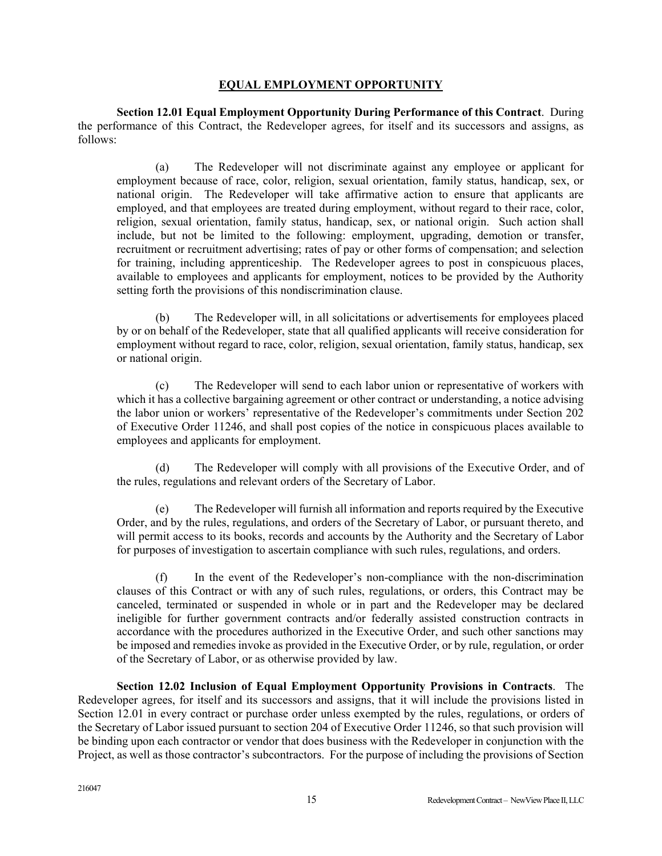### **EQUAL EMPLOYMENT OPPORTUNITY**

**Section 12.01 Equal Employment Opportunity During Performance of this Contract**. During the performance of this Contract, the Redeveloper agrees, for itself and its successors and assigns, as follows:

(a) The Redeveloper will not discriminate against any employee or applicant for employment because of race, color, religion, sexual orientation, family status, handicap, sex, or national origin. The Redeveloper will take affirmative action to ensure that applicants are employed, and that employees are treated during employment, without regard to their race, color, religion, sexual orientation, family status, handicap, sex, or national origin. Such action shall include, but not be limited to the following: employment, upgrading, demotion or transfer, recruitment or recruitment advertising; rates of pay or other forms of compensation; and selection for training, including apprenticeship. The Redeveloper agrees to post in conspicuous places, available to employees and applicants for employment, notices to be provided by the Authority setting forth the provisions of this nondiscrimination clause.

(b) The Redeveloper will, in all solicitations or advertisements for employees placed by or on behalf of the Redeveloper, state that all qualified applicants will receive consideration for employment without regard to race, color, religion, sexual orientation, family status, handicap, sex or national origin.

(c) The Redeveloper will send to each labor union or representative of workers with which it has a collective bargaining agreement or other contract or understanding, a notice advising the labor union or workers' representative of the Redeveloper's commitments under Section 202 of Executive Order 11246, and shall post copies of the notice in conspicuous places available to employees and applicants for employment.

(d) The Redeveloper will comply with all provisions of the Executive Order, and of the rules, regulations and relevant orders of the Secretary of Labor.

(e) The Redeveloper will furnish all information and reports required by the Executive Order, and by the rules, regulations, and orders of the Secretary of Labor, or pursuant thereto, and will permit access to its books, records and accounts by the Authority and the Secretary of Labor for purposes of investigation to ascertain compliance with such rules, regulations, and orders.

(f) In the event of the Redeveloper's non-compliance with the non-discrimination clauses of this Contract or with any of such rules, regulations, or orders, this Contract may be canceled, terminated or suspended in whole or in part and the Redeveloper may be declared ineligible for further government contracts and/or federally assisted construction contracts in accordance with the procedures authorized in the Executive Order, and such other sanctions may be imposed and remedies invoke as provided in the Executive Order, or by rule, regulation, or order of the Secretary of Labor, or as otherwise provided by law.

**Section 12.02 Inclusion of Equal Employment Opportunity Provisions in Contracts**. The Redeveloper agrees, for itself and its successors and assigns, that it will include the provisions listed in Section 12.01 in every contract or purchase order unless exempted by the rules, regulations, or orders of the Secretary of Labor issued pursuant to section 204 of Executive Order 11246, so that such provision will be binding upon each contractor or vendor that does business with the Redeveloper in conjunction with the Project, as well as those contractor's subcontractors. For the purpose of including the provisions of Section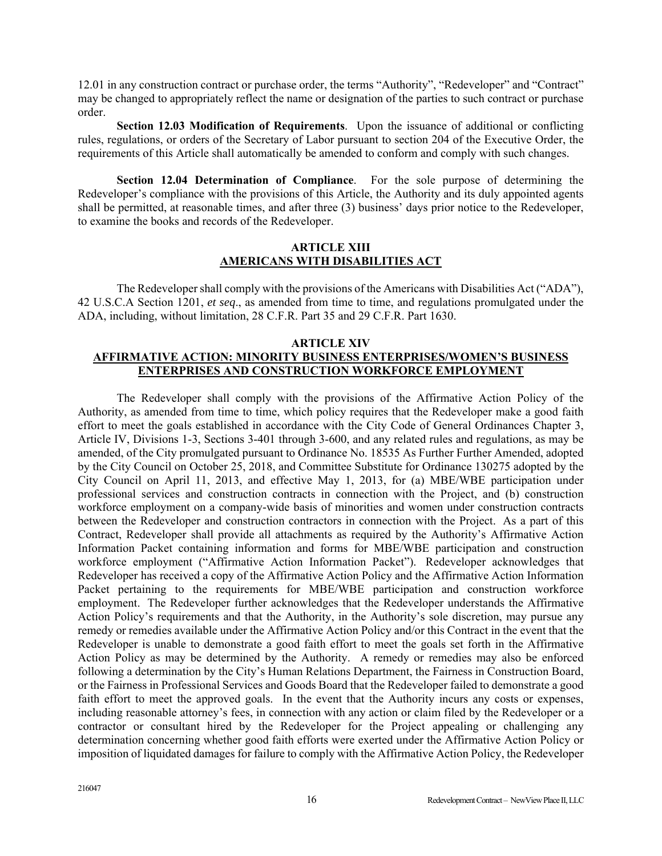12.01 in any construction contract or purchase order, the terms "Authority", "Redeveloper" and "Contract" may be changed to appropriately reflect the name or designation of the parties to such contract or purchase order.

**Section 12.03 Modification of Requirements**. Upon the issuance of additional or conflicting rules, regulations, or orders of the Secretary of Labor pursuant to section 204 of the Executive Order, the requirements of this Article shall automatically be amended to conform and comply with such changes.

**Section 12.04 Determination of Compliance**. For the sole purpose of determining the Redeveloper's compliance with the provisions of this Article, the Authority and its duly appointed agents shall be permitted, at reasonable times, and after three (3) business' days prior notice to the Redeveloper, to examine the books and records of the Redeveloper.

### **ARTICLE XIII AMERICANS WITH DISABILITIES ACT**

The Redeveloper shall comply with the provisions of the Americans with Disabilities Act ("ADA"), 42 U.S.C.A Section 1201, *et seq*., as amended from time to time, and regulations promulgated under the ADA, including, without limitation, 28 C.F.R. Part 35 and 29 C.F.R. Part 1630.

### **ARTICLE XIV AFFIRMATIVE ACTION: MINORITY BUSINESS ENTERPRISES/WOMEN'S BUSINESS ENTERPRISES AND CONSTRUCTION WORKFORCE EMPLOYMENT**

 The Redeveloper shall comply with the provisions of the Affirmative Action Policy of the Authority, as amended from time to time, which policy requires that the Redeveloper make a good faith effort to meet the goals established in accordance with the City Code of General Ordinances Chapter 3, Article IV, Divisions 1-3, Sections 3-401 through 3-600, and any related rules and regulations, as may be amended, of the City promulgated pursuant to Ordinance No. 18535 As Further Further Amended, adopted by the City Council on October 25, 2018, and Committee Substitute for Ordinance 130275 adopted by the City Council on April 11, 2013, and effective May 1, 2013, for (a) MBE/WBE participation under professional services and construction contracts in connection with the Project, and (b) construction workforce employment on a company-wide basis of minorities and women under construction contracts between the Redeveloper and construction contractors in connection with the Project. As a part of this Contract, Redeveloper shall provide all attachments as required by the Authority's Affirmative Action Information Packet containing information and forms for MBE/WBE participation and construction workforce employment ("Affirmative Action Information Packet"). Redeveloper acknowledges that Redeveloper has received a copy of the Affirmative Action Policy and the Affirmative Action Information Packet pertaining to the requirements for MBE/WBE participation and construction workforce employment. The Redeveloper further acknowledges that the Redeveloper understands the Affirmative Action Policy's requirements and that the Authority, in the Authority's sole discretion, may pursue any remedy or remedies available under the Affirmative Action Policy and/or this Contract in the event that the Redeveloper is unable to demonstrate a good faith effort to meet the goals set forth in the Affirmative Action Policy as may be determined by the Authority. A remedy or remedies may also be enforced following a determination by the City's Human Relations Department, the Fairness in Construction Board, or the Fairness in Professional Services and Goods Board that the Redeveloper failed to demonstrate a good faith effort to meet the approved goals. In the event that the Authority incurs any costs or expenses, including reasonable attorney's fees, in connection with any action or claim filed by the Redeveloper or a contractor or consultant hired by the Redeveloper for the Project appealing or challenging any determination concerning whether good faith efforts were exerted under the Affirmative Action Policy or imposition of liquidated damages for failure to comply with the Affirmative Action Policy, the Redeveloper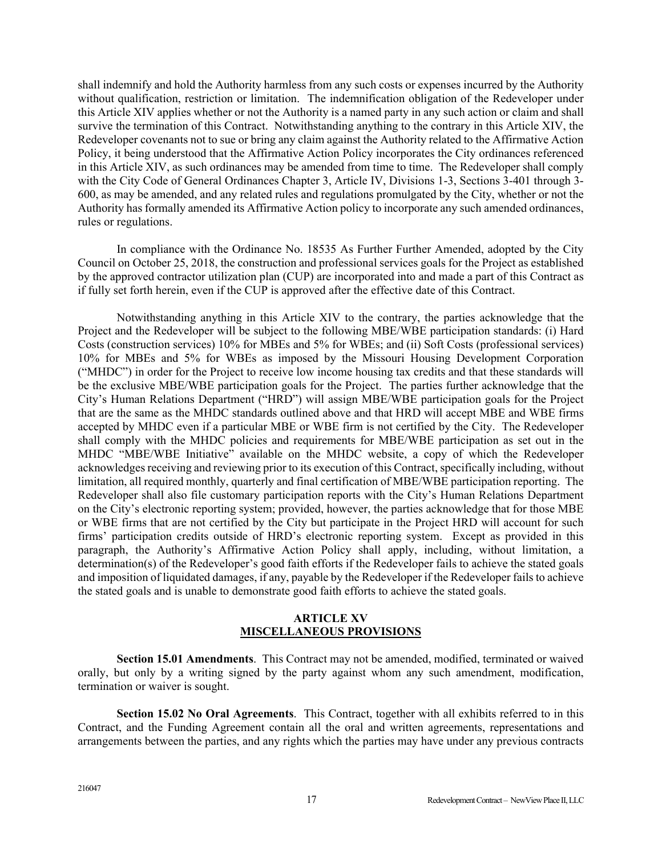shall indemnify and hold the Authority harmless from any such costs or expenses incurred by the Authority without qualification, restriction or limitation. The indemnification obligation of the Redeveloper under this Article XIV applies whether or not the Authority is a named party in any such action or claim and shall survive the termination of this Contract. Notwithstanding anything to the contrary in this Article XIV, the Redeveloper covenants not to sue or bring any claim against the Authority related to the Affirmative Action Policy, it being understood that the Affirmative Action Policy incorporates the City ordinances referenced in this Article XIV, as such ordinances may be amended from time to time. The Redeveloper shall comply with the City Code of General Ordinances Chapter 3, Article IV, Divisions 1-3, Sections 3-401 through 3-600, as may be amended, and any related rules and regulations promulgated by the City, whether or not the Authority has formally amended its Affirmative Action policy to incorporate any such amended ordinances, rules or regulations.

 In compliance with the Ordinance No. 18535 As Further Further Amended, adopted by the City Council on October 25, 2018, the construction and professional services goals for the Project as established by the approved contractor utilization plan (CUP) are incorporated into and made a part of this Contract as if fully set forth herein, even if the CUP is approved after the effective date of this Contract.

Notwithstanding anything in this Article XIV to the contrary, the parties acknowledge that the Project and the Redeveloper will be subject to the following MBE/WBE participation standards: (i) Hard Costs (construction services) 10% for MBEs and 5% for WBEs; and (ii) Soft Costs (professional services) 10% for MBEs and 5% for WBEs as imposed by the Missouri Housing Development Corporation ("MHDC") in order for the Project to receive low income housing tax credits and that these standards will be the exclusive MBE/WBE participation goals for the Project. The parties further acknowledge that the City's Human Relations Department ("HRD") will assign MBE/WBE participation goals for the Project that are the same as the MHDC standards outlined above and that HRD will accept MBE and WBE firms accepted by MHDC even if a particular MBE or WBE firm is not certified by the City. The Redeveloper shall comply with the MHDC policies and requirements for MBE/WBE participation as set out in the MHDC "MBE/WBE Initiative" available on the MHDC website, a copy of which the Redeveloper acknowledges receiving and reviewing prior to its execution of this Contract, specifically including, without limitation, all required monthly, quarterly and final certification of MBE/WBE participation reporting. The Redeveloper shall also file customary participation reports with the City's Human Relations Department on the City's electronic reporting system; provided, however, the parties acknowledge that for those MBE or WBE firms that are not certified by the City but participate in the Project HRD will account for such firms' participation credits outside of HRD's electronic reporting system. Except as provided in this paragraph, the Authority's Affirmative Action Policy shall apply, including, without limitation, a determination(s) of the Redeveloper's good faith efforts if the Redeveloper fails to achieve the stated goals and imposition of liquidated damages, if any, payable by the Redeveloper if the Redeveloper fails to achieve the stated goals and is unable to demonstrate good faith efforts to achieve the stated goals.

### **ARTICLE XV MISCELLANEOUS PROVISIONS**

**Section 15.01 Amendments**. This Contract may not be amended, modified, terminated or waived orally, but only by a writing signed by the party against whom any such amendment, modification, termination or waiver is sought.

**Section 15.02 No Oral Agreements**. This Contract, together with all exhibits referred to in this Contract, and the Funding Agreement contain all the oral and written agreements, representations and arrangements between the parties, and any rights which the parties may have under any previous contracts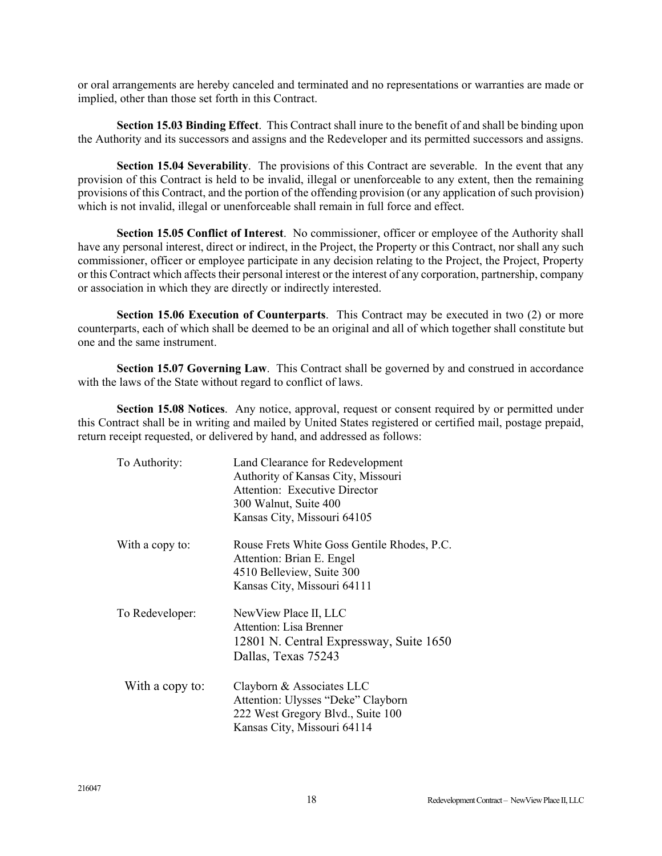or oral arrangements are hereby canceled and terminated and no representations or warranties are made or implied, other than those set forth in this Contract.

**Section 15.03 Binding Effect**. This Contract shall inure to the benefit of and shall be binding upon the Authority and its successors and assigns and the Redeveloper and its permitted successors and assigns.

**Section 15.04 Severability**. The provisions of this Contract are severable. In the event that any provision of this Contract is held to be invalid, illegal or unenforceable to any extent, then the remaining provisions of this Contract, and the portion of the offending provision (or any application of such provision) which is not invalid, illegal or unenforceable shall remain in full force and effect.

**Section 15.05 Conflict of Interest**. No commissioner, officer or employee of the Authority shall have any personal interest, direct or indirect, in the Project, the Property or this Contract, nor shall any such commissioner, officer or employee participate in any decision relating to the Project, the Project, Property or this Contract which affects their personal interest or the interest of any corporation, partnership, company or association in which they are directly or indirectly interested.

**Section 15.06 Execution of Counterparts**. This Contract may be executed in two (2) or more counterparts, each of which shall be deemed to be an original and all of which together shall constitute but one and the same instrument.

**Section 15.07 Governing Law**. This Contract shall be governed by and construed in accordance with the laws of the State without regard to conflict of laws.

**Section 15.08 Notices**. Any notice, approval, request or consent required by or permitted under this Contract shall be in writing and mailed by United States registered or certified mail, postage prepaid, return receipt requested, or delivered by hand, and addressed as follows:

| To Authority:   | Land Clearance for Redevelopment<br>Authority of Kansas City, Missouri<br><b>Attention: Executive Director</b><br>300 Walnut, Suite 400<br>Kansas City, Missouri 64105 |
|-----------------|------------------------------------------------------------------------------------------------------------------------------------------------------------------------|
| With a copy to: | Rouse Frets White Goss Gentile Rhodes, P.C.<br>Attention: Brian E. Engel<br>4510 Belleview, Suite 300<br>Kansas City, Missouri 64111                                   |
| To Redeveloper: | NewView Place II, LLC<br><b>Attention: Lisa Brenner</b><br>12801 N. Central Expressway, Suite 1650<br>Dallas, Texas 75243                                              |
| With a copy to: | Clayborn & Associates LLC<br>Attention: Ulysses "Deke" Clayborn<br>222 West Gregory Blvd., Suite 100<br>Kansas City, Missouri 64114                                    |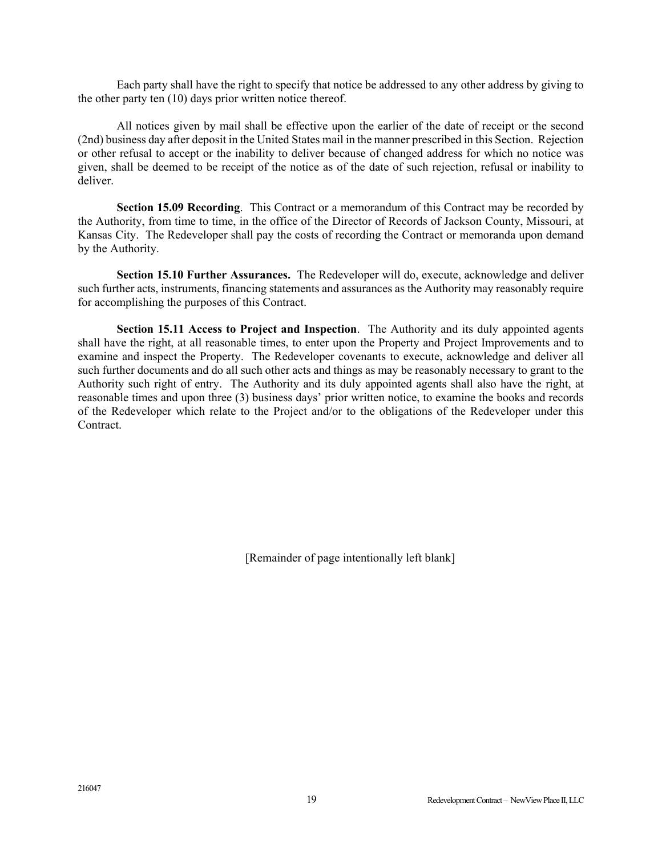Each party shall have the right to specify that notice be addressed to any other address by giving to the other party ten (10) days prior written notice thereof.

All notices given by mail shall be effective upon the earlier of the date of receipt or the second (2nd) business day after deposit in the United States mail in the manner prescribed in this Section. Rejection or other refusal to accept or the inability to deliver because of changed address for which no notice was given, shall be deemed to be receipt of the notice as of the date of such rejection, refusal or inability to deliver.

**Section 15.09 Recording**. This Contract or a memorandum of this Contract may be recorded by the Authority, from time to time, in the office of the Director of Records of Jackson County, Missouri, at Kansas City. The Redeveloper shall pay the costs of recording the Contract or memoranda upon demand by the Authority.

**Section 15.10 Further Assurances.** The Redeveloper will do, execute, acknowledge and deliver such further acts, instruments, financing statements and assurances as the Authority may reasonably require for accomplishing the purposes of this Contract.

**Section 15.11 Access to Project and Inspection**. The Authority and its duly appointed agents shall have the right, at all reasonable times, to enter upon the Property and Project Improvements and to examine and inspect the Property. The Redeveloper covenants to execute, acknowledge and deliver all such further documents and do all such other acts and things as may be reasonably necessary to grant to the Authority such right of entry. The Authority and its duly appointed agents shall also have the right, at reasonable times and upon three (3) business days' prior written notice, to examine the books and records of the Redeveloper which relate to the Project and/or to the obligations of the Redeveloper under this Contract.

[Remainder of page intentionally left blank]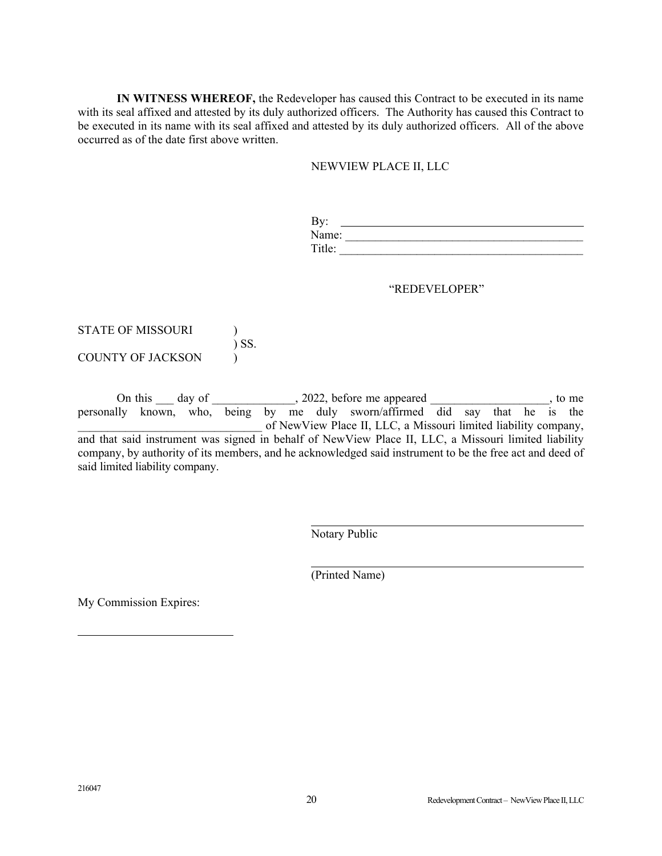**IN WITNESS WHEREOF,** the Redeveloper has caused this Contract to be executed in its name with its seal affixed and attested by its duly authorized officers. The Authority has caused this Contract to be executed in its name with its seal affixed and attested by its duly authorized officers. All of the above occurred as of the date first above written.

### NEWVIEW PLACE II, LLC

| ÷ |  |
|---|--|
|   |  |
|   |  |

#### "REDEVELOPER"

# STATE OF MISSOURI (1) ) SS. COUNTY OF JACKSON (1)

On this  $\_\_$  day of  $\_\_\_\_$ , 2022, before me appeared  $\_\_\_\_\_\_\_\_\_\_\_\_\_\_$ , to me personally known, who, being by me duly sworn/affirmed did say that he is the of NewView Place II, LLC, a Missouri limited liability company, and that said instrument was signed in behalf of NewView Place II, LLC, a Missouri limited liability company, by authority of its members, and he acknowledged said instrument to be the free act and deed of said limited liability company.

Notary Public

(Printed Name)

My Commission Expires:

l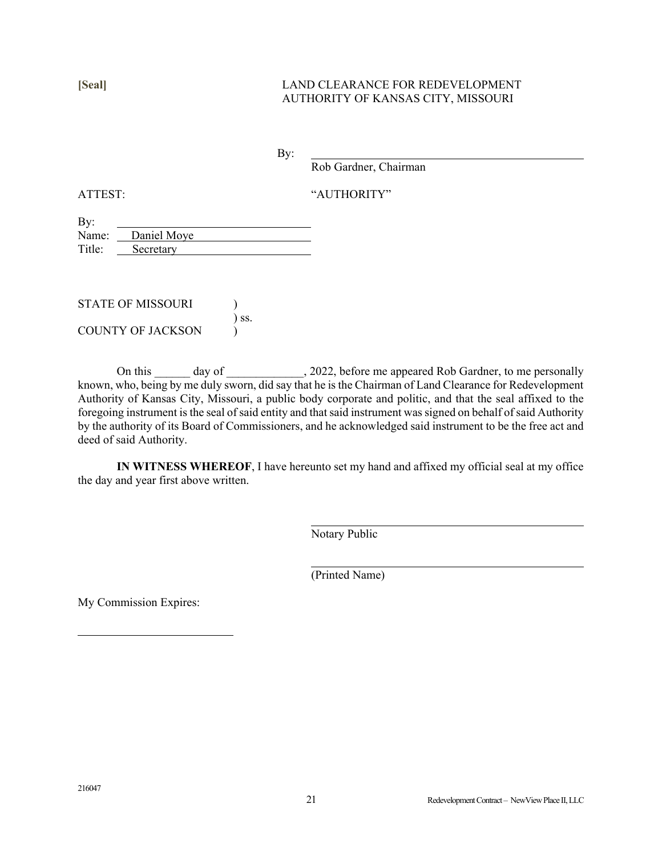### **[Seal]** LAND CLEARANCE FOR REDEVELOPMENT AUTHORITY OF KANSAS CITY, MISSOURI

By:

Rob Gardner, Chairman

ATTEST: "AUTHORITY"

| By:    |             |
|--------|-------------|
| Name:  | Daniel Moye |
| Title: | Secretary   |

| STATE OF MISSOURI |            |
|-------------------|------------|
|                   | $\sum$ SS. |
| COUNTY OF JACKSON |            |

On this \_\_\_\_\_\_ day of \_\_\_\_\_\_\_\_\_\_\_, 2022, before me appeared Rob Gardner, to me personally known, who, being by me duly sworn, did say that he is the Chairman of Land Clearance for Redevelopment Authority of Kansas City, Missouri, a public body corporate and politic, and that the seal affixed to the foregoing instrument is the seal of said entity and that said instrument was signed on behalf of said Authority by the authority of its Board of Commissioners, and he acknowledged said instrument to be the free act and deed of said Authority.

**IN WITNESS WHEREOF**, I have hereunto set my hand and affixed my official seal at my office the day and year first above written.

Notary Public

(Printed Name)

My Commission Expires:

l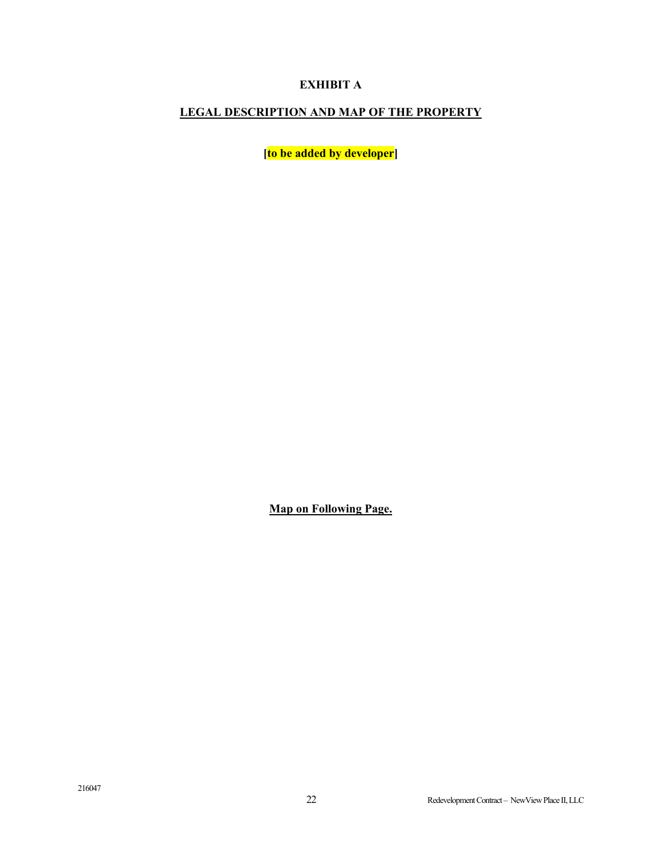# **EXHIBIT A**

## **LEGAL DESCRIPTION AND MAP OF THE PROPERTY**

**[to be added by developer]** 

**Map on Following Page.**